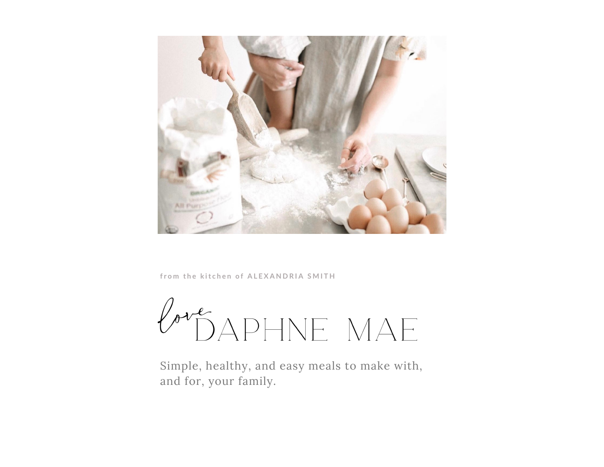

from the kitchen of ALEXANDRIA SMITH

PréDAPHNE MAE

Simple, healthy, and easy meals to make with, and for, your family.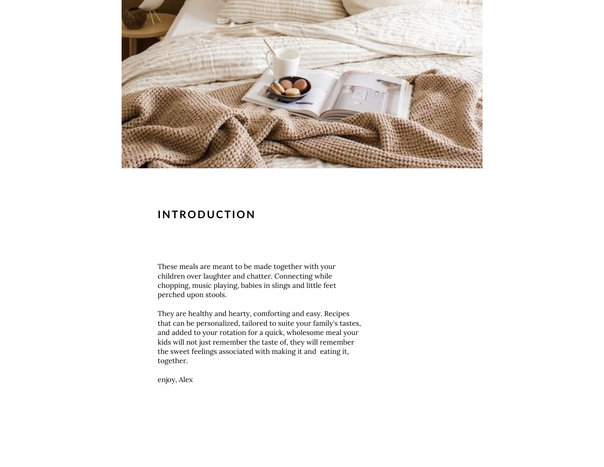

#### **INTRODUCTION**

These meals are meant to be made together with your children over laughter and chatter. Connecting while chopping, music playing, babies in slings and little feet perched upon stools.

They are healthy and hearty, comforting and easy. Recipes that can be personalized, tailored to suite your family's tastes, and added to your rotation for <sup>a</sup> quick, wholesome meal your kids will not just remember the taste of, they will remember the sweet feelings associated with making it and eating it, together.

enjoy, Alex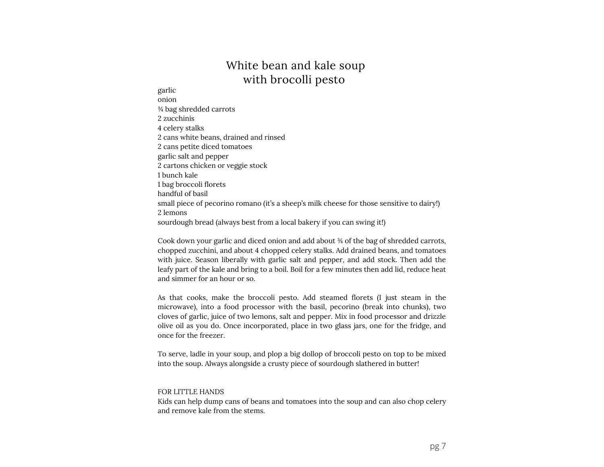# White bean and kale soup with brocolli pesto

#### garlic onion ¾ bag shredded carrots 2 zucchinis 4 celery stalks 2 cans white beans, drained and rinsed 2 cans petite diced tomatoes garlic salt and pepper 2 cartons chicken or veggie stock 1 bunch kale <sup>1</sup> bag broccoli florets handful of basil small piece of pecorino romano (it's a sheep's milk cheese for those sensitive to dairy!) 2 lemons sourdough bread (always best from a local bakery if you can swing it!)

Cook down your garlic and diced onion and add about ¾ of the bag of shredded carrots, chopped zucchini, and about 4 chopped celery stalks. Add drained beans, and tomatoes with juice. Season liberally with garlic salt and pepper, and add stock. Then add the leafy par<sup>t</sup> of the kale and bring to <sup>a</sup> boil. Boil for <sup>a</sup> few minutes then add lid, reduce heat and simmer for an hour or so.

As that cooks, make the broccoli pesto. Add steamed florets (I just steam in the microwave), into a food processor with the basil, pecorino (break into chunks), two cloves of garlic, juice of two lemons, salt and pepper. Mix in food processor and drizzle olive oil as you do. Once incorporated, place in two glass jars, one for the fridge, and once for the freezer.

To serve, ladle in your soup, and plop <sup>a</sup> big dollop of broccoli pesto on top to be mixed into the soup. Always alongside <sup>a</sup> crusty piece of sourdough slathered in butter!

#### FOR LITTLE HANDS

Kids can help dump cans of beans and tomatoes into the soup and can also chop celery and remove kale from the stems.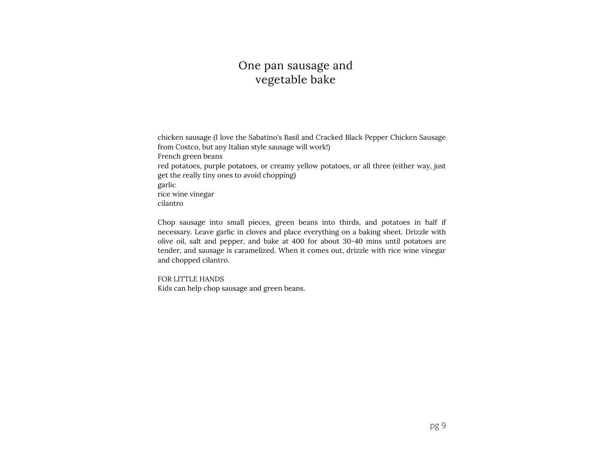# One pan sausage and vegetable bake

chicken sausage (I love the Sabatino's Basil and Cracked Black Pepper Chicken Sausage from Costco, but any Italian style sausage will work!) French green beans red potatoes, purple potatoes, or creamy yellow potatoes, or all three (either way, just get the really tiny ones to avoid chopping) garlic rice wine vinegar cilantro

Chop sausage into small pieces, green beans into thirds, and potatoes in half if necessary. Leave garlic in cloves and place everything on <sup>a</sup> baking sheet. Drizzle with olive oil, salt and pepper, and bake at 400 for about 30ʴ40 mins until potatoes are tender, and sausage is caramelized. When it comes out, drizzle with rice wine vinegar and chopped cilantro.

FOR LITTLE HANDS Kids can help chop sausage and green beans.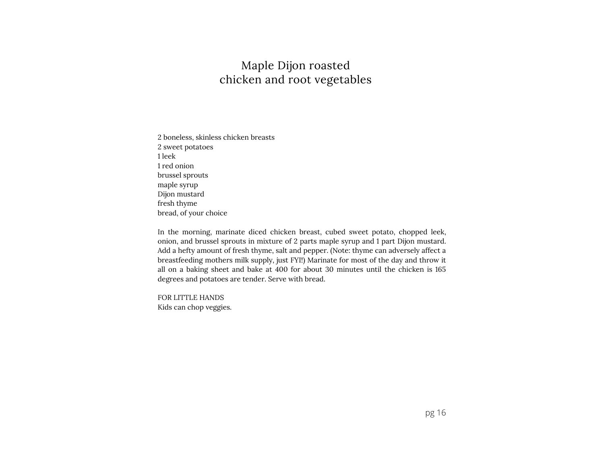# Maple Dijon roasted chicken and root vegetables

2 boneless, skinless chicken breasts 2 sweet potatoes 1 leek 1 red onion brussel sprouts maple syrup Dijon mustard fresh thyme bread, of your choice

In the morning, marinate diced chicken breast, cubed sweet potato, chopped leek, onion, and brussel sprouts in mixture of <sup>2</sup> parts maple syrup and <sup>1</sup> par<sup>t</sup> Dijon mustard. Add <sup>a</sup> hefty amount of fresh thyme, salt and pepper. (Note: thyme can adversely affect <sup>a</sup> breastfeeding mothers milk supply, just FYI!) Marinate for most of the day and throw it all on <sup>a</sup> baking sheet and bake at 400 for about 30 minutes until the chicken is 165 degrees and potatoes are tender. Serve with bread.

FOR LITTLE HANDS Kids can chop veggies.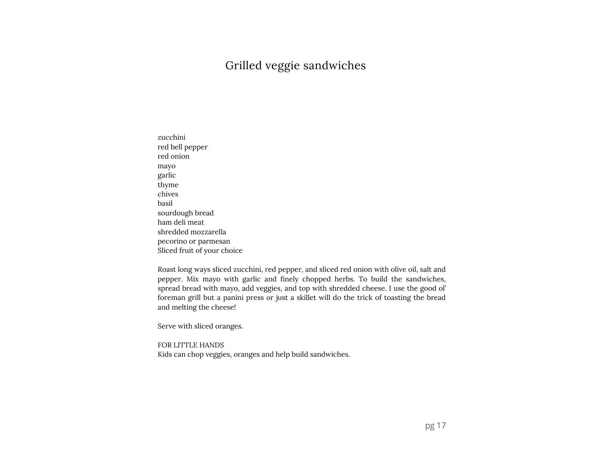## Grilled veggie sandwiches

zucchini red bell pepper red onion mayo garlic thyme chives basil sourdough bread ham deli meat shredded mozzarella pecorino or parmesan Sliced fruit of your choice

Roast long ways sliced zucchini, red pepper, and sliced red onion with olive oil, salt and pepper. Mix mayo with garlic and finely chopped herbs. To build the sandwiches, spread bread with mayo, add veggies, and top with shredded cheese. I use the good ol' foreman grill but <sup>a</sup> panini press or just <sup>a</sup> skillet will do the trick of toasting the bread and melting the cheese!

Serve with sliced oranges.

FOR LITTLE HANDS Kids can chop veggies, oranges and help build sandwiches.